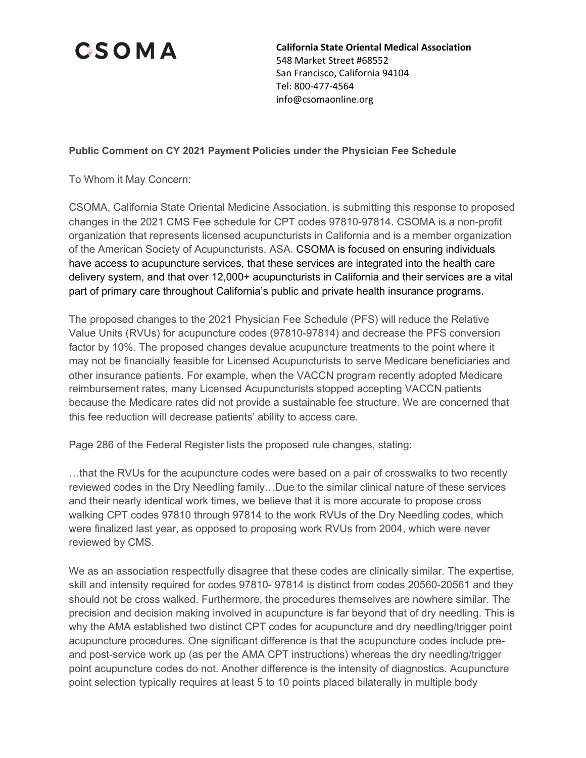

**California State Oriental Medical Association** 548 Market Street #68552 San Francisco, California 94104 Tel: 800-477-4564 info@csomaonline.org

## **Public Comment on CY 2021 Payment Policies under the Physician Fee Schedule**

To Whom it May Concern:

CSOMA, California State Oriental Medicine Association, is submitting this response to proposed changes in the 2021 CMS Fee schedule for CPT codes 97810-97814. CSOMA is a non-profit organization that represents licensed acupuncturists in California and is a member organization of the American Society of Acupuncturists, ASA. CSOMA is focused on ensuring individuals have access to acupuncture services, that these services are integrated into the health care delivery system, and that over 12,000+ acupuncturists in California and their services are a vital part of primary care throughout California's public and private health insurance programs.

The proposed changes to the 2021 Physician Fee Schedule (PFS) will reduce the Relative Value Units (RVUs) for acupuncture codes (97810-97814) and decrease the PFS conversion factor by 10%. The proposed changes devalue acupuncture treatments to the point where it may not be financially feasible for Licensed Acupuncturists to serve Medicare beneficiaries and other insurance patients. For example, when the VACCN program recently adopted Medicare reimbursement rates, many Licensed Acupuncturists stopped accepting VACCN patients because the Medicare rates did not provide a sustainable fee structure. We are concerned that this fee reduction will decrease patients' ability to access care.

Page 286 of the Federal Register lists the proposed rule changes, stating:

…that the RVUs for the acupuncture codes were based on a pair of crosswalks to two recently reviewed codes in the Dry Needling family…Due to the similar clinical nature of these services and their nearly identical work times, we believe that it is more accurate to propose cross walking CPT codes 97810 through 97814 to the work RVUs of the Dry Needling codes, which were finalized last year, as opposed to proposing work RVUs from 2004, which were never reviewed by CMS.

We as an association respectfully disagree that these codes are clinically similar. The expertise, skill and intensity required for codes 97810- 97814 is distinct from codes 20560-20561 and they should not be cross walked. Furthermore, the procedures themselves are nowhere similar. The precision and decision making involved in acupuncture is far beyond that of dry needling. This is why the AMA established two distinct CPT codes for acupuncture and dry needling/trigger point acupuncture procedures. One significant difference is that the acupuncture codes include preand post-service work up (as per the AMA CPT instructions) whereas the dry needling/trigger point acupuncture codes do not. Another difference is the intensity of diagnostics. Acupuncture point selection typically requires at least 5 to 10 points placed bilaterally in multiple body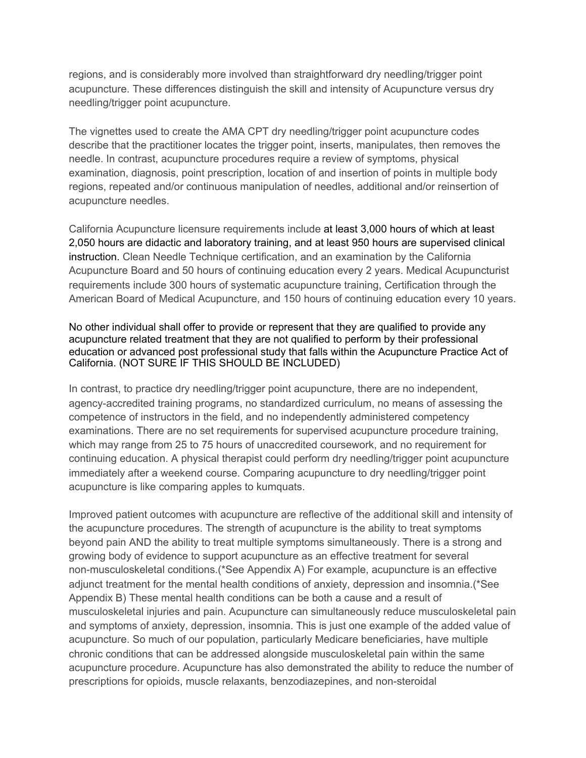regions, and is considerably more involved than straightforward dry needling/trigger point acupuncture. These differences distinguish the skill and intensity of Acupuncture versus dry needling/trigger point acupuncture.

The vignettes used to create the AMA CPT dry needling/trigger point acupuncture codes describe that the practitioner locates the trigger point, inserts, manipulates, then removes the needle. In contrast, acupuncture procedures require a review of symptoms, physical examination, diagnosis, point prescription, location of and insertion of points in multiple body regions, repeated and/or continuous manipulation of needles, additional and/or reinsertion of acupuncture needles.

California Acupuncture licensure requirements include at least 3,000 hours of which at least 2,050 hours are didactic and laboratory training, and at least 950 hours are supervised clinical instruction. Clean Needle Technique certification, and an examination by the California Acupuncture Board and 50 hours of continuing education every 2 years. Medical Acupuncturist requirements include 300 hours of systematic acupuncture training, Certification through the American Board of Medical Acupuncture, and 150 hours of continuing education every 10 years.

No other individual shall offer to provide or represent that they are qualified to provide any acupuncture related treatment that they are not qualified to perform by their professional education or advanced post professional study that falls within the Acupuncture Practice Act of California. (NOT SURE IF THIS SHOULD BE INCLUDED)

In contrast, to practice dry needling/trigger point acupuncture, there are no independent, agency-accredited training programs, no standardized curriculum, no means of assessing the competence of instructors in the field, and no independently administered competency examinations. There are no set requirements for supervised acupuncture procedure training, which may range from 25 to 75 hours of unaccredited coursework, and no requirement for continuing education. A physical therapist could perform dry needling/trigger point acupuncture immediately after a weekend course. Comparing acupuncture to dry needling/trigger point acupuncture is like comparing apples to kumquats.

Improved patient outcomes with acupuncture are reflective of the additional skill and intensity of the acupuncture procedures. The strength of acupuncture is the ability to treat symptoms beyond pain AND the ability to treat multiple symptoms simultaneously. There is a strong and growing body of evidence to support acupuncture as an effective treatment for several non-musculoskeletal conditions.(\*See Appendix A) For example, acupuncture is an effective adjunct treatment for the mental health conditions of anxiety, depression and insomnia.(\*See Appendix B) These mental health conditions can be both a cause and a result of musculoskeletal injuries and pain. Acupuncture can simultaneously reduce musculoskeletal pain and symptoms of anxiety, depression, insomnia. This is just one example of the added value of acupuncture. So much of our population, particularly Medicare beneficiaries, have multiple chronic conditions that can be addressed alongside musculoskeletal pain within the same acupuncture procedure. Acupuncture has also demonstrated the ability to reduce the number of prescriptions for opioids, muscle relaxants, benzodiazepines, and non-steroidal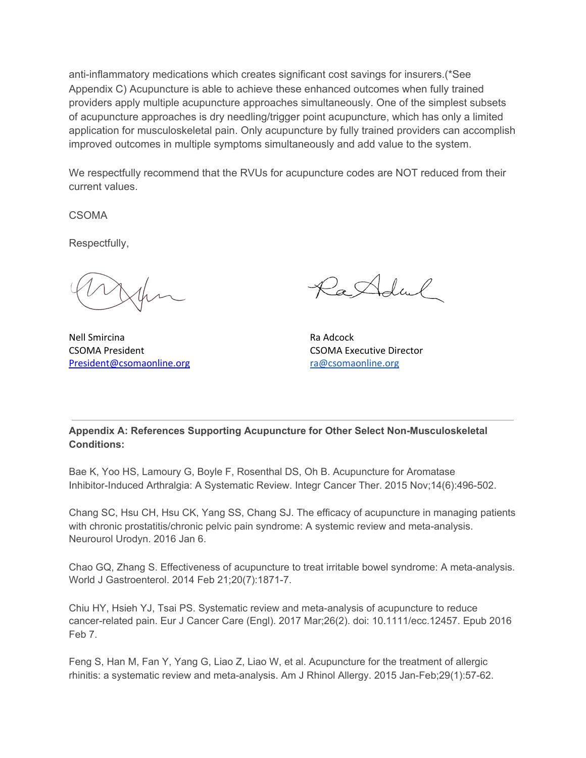anti-inflammatory medications which creates significant cost savings for insurers.(\*See Appendix C) Acupuncture is able to achieve these enhanced outcomes when fully trained providers apply multiple acupuncture approaches simultaneously. One of the simplest subsets of acupuncture approaches is dry needling/trigger point acupuncture, which has only a limited application for musculoskeletal pain. Only acupuncture by fully trained providers can accomplish improved outcomes in multiple symptoms simultaneously and add value to the system.

We respectfully recommend that the RVUs for acupuncture codes are NOT reduced from their current values.

CSOMA

Respectfully,

Nell Smircina **Randoll** Smircina Ra Adcock CSOMA President CSOMA Executive Director President@csomaonline.org [ra@csomaonline.org](mailto:ra@csomaonline.org)

RaAdul

**Appendix A: References Supporting Acupuncture for Other Select Non-Musculoskeletal Conditions:**

Bae K, Yoo HS, Lamoury G, Boyle F, Rosenthal DS, Oh B. Acupuncture for Aromatase Inhibitor-Induced Arthralgia: A Systematic Review. Integr Cancer Ther. 2015 Nov;14(6):496-502.

Chang SC, Hsu CH, Hsu CK, Yang SS, Chang SJ. The efficacy of acupuncture in managing patients with chronic prostatitis/chronic pelvic pain syndrome: A systemic review and meta-analysis. Neurourol Urodyn. 2016 Jan 6.

Chao GQ, Zhang S. Effectiveness of acupuncture to treat irritable bowel syndrome: A meta-analysis. World J Gastroenterol. 2014 Feb 21;20(7):1871-7.

Chiu HY, Hsieh YJ, Tsai PS. Systematic review and meta-analysis of acupuncture to reduce cancer-related pain. Eur J Cancer Care (Engl). 2017 Mar;26(2). doi: 10.1111/ecc.12457. Epub 2016 Feb 7.

Feng S, Han M, Fan Y, Yang G, Liao Z, Liao W, et al. Acupuncture for the treatment of allergic rhinitis: a systematic review and meta-analysis. Am J Rhinol Allergy. 2015 Jan-Feb;29(1):57-62.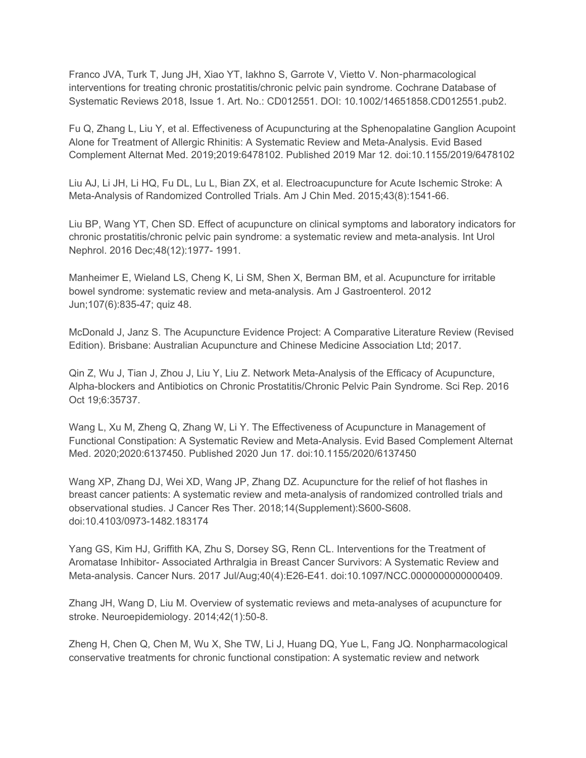Franco JVA, Turk T, Jung JH, Xiao YT, Iakhno S, Garrote V, Vietto V. Non-pharmacological interventions for treating chronic prostatitis/chronic pelvic pain syndrome. Cochrane Database of Systematic Reviews 2018, Issue 1. Art. No.: CD012551. DOI: 10.1002/14651858.CD012551.pub2.

Fu Q, Zhang L, Liu Y, et al. Effectiveness of Acupuncturing at the Sphenopalatine Ganglion Acupoint Alone for Treatment of Allergic Rhinitis: A Systematic Review and Meta-Analysis. Evid Based Complement Alternat Med. 2019;2019:6478102. Published 2019 Mar 12. doi:10.1155/2019/6478102

Liu AJ, Li JH, Li HQ, Fu DL, Lu L, Bian ZX, et al. Electroacupuncture for Acute Ischemic Stroke: A Meta-Analysis of Randomized Controlled Trials. Am J Chin Med. 2015;43(8):1541-66.

Liu BP, Wang YT, Chen SD. Effect of acupuncture on clinical symptoms and laboratory indicators for chronic prostatitis/chronic pelvic pain syndrome: a systematic review and meta-analysis. Int Urol Nephrol. 2016 Dec;48(12):1977- 1991.

Manheimer E, Wieland LS, Cheng K, Li SM, Shen X, Berman BM, et al. Acupuncture for irritable bowel syndrome: systematic review and meta-analysis. Am J Gastroenterol. 2012 Jun;107(6):835-47; quiz 48.

McDonald J, Janz S. The Acupuncture Evidence Project: A Comparative Literature Review (Revised Edition). Brisbane: Australian Acupuncture and Chinese Medicine Association Ltd; 2017.

Qin Z, Wu J, Tian J, Zhou J, Liu Y, Liu Z. Network Meta-Analysis of the Efficacy of Acupuncture, Alpha-blockers and Antibiotics on Chronic Prostatitis/Chronic Pelvic Pain Syndrome. Sci Rep. 2016 Oct 19;6:35737.

Wang L, Xu M, Zheng Q, Zhang W, Li Y. The Effectiveness of Acupuncture in Management of Functional Constipation: A Systematic Review and Meta-Analysis. Evid Based Complement Alternat Med. 2020;2020:6137450. Published 2020 Jun 17. doi:10.1155/2020/6137450

Wang XP, Zhang DJ, Wei XD, Wang JP, Zhang DZ. Acupuncture for the relief of hot flashes in breast cancer patients: A systematic review and meta-analysis of randomized controlled trials and observational studies. J Cancer Res Ther. 2018;14(Supplement):S600-S608. doi:10.4103/0973-1482.183174

Yang GS, Kim HJ, Griffith KA, Zhu S, Dorsey SG, Renn CL. Interventions for the Treatment of Aromatase Inhibitor- Associated Arthralgia in Breast Cancer Survivors: A Systematic Review and Meta-analysis. Cancer Nurs. 2017 Jul/Aug;40(4):E26-E41. doi:10.1097/NCC.0000000000000409.

Zhang JH, Wang D, Liu M. Overview of systematic reviews and meta-analyses of acupuncture for stroke. Neuroepidemiology. 2014;42(1):50-8.

Zheng H, Chen Q, Chen M, Wu X, She TW, Li J, Huang DQ, Yue L, Fang JQ. Nonpharmacological conservative treatments for chronic functional constipation: A systematic review and network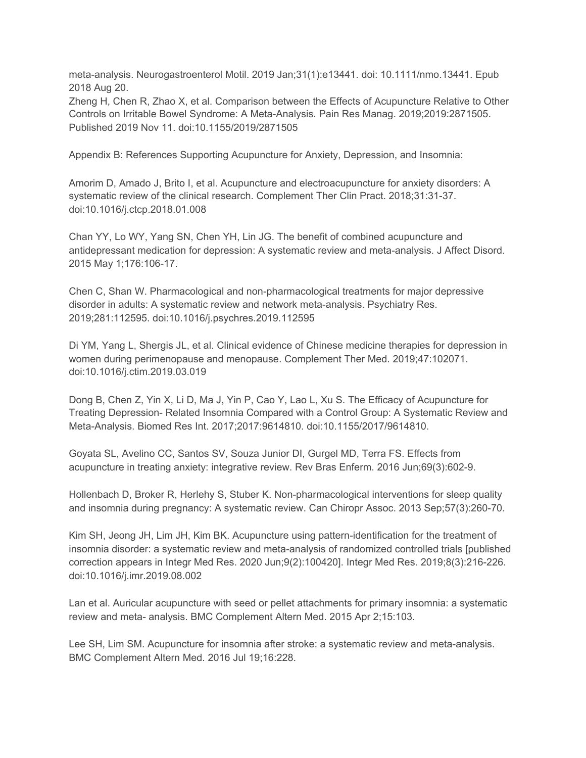meta-analysis. Neurogastroenterol Motil. 2019 Jan;31(1):e13441. doi: 10.1111/nmo.13441. Epub 2018 Aug 20.

Zheng H, Chen R, Zhao X, et al. Comparison between the Effects of Acupuncture Relative to Other Controls on Irritable Bowel Syndrome: A Meta-Analysis. Pain Res Manag. 2019;2019:2871505. Published 2019 Nov 11. doi:10.1155/2019/2871505

Appendix B: References Supporting Acupuncture for Anxiety, Depression, and Insomnia:

Amorim D, Amado J, Brito I, et al. Acupuncture and electroacupuncture for anxiety disorders: A systematic review of the clinical research. Complement Ther Clin Pract. 2018;31:31-37. doi:10.1016/j.ctcp.2018.01.008

Chan YY, Lo WY, Yang SN, Chen YH, Lin JG. The benefit of combined acupuncture and antidepressant medication for depression: A systematic review and meta-analysis. J Affect Disord. 2015 May 1;176:106-17.

Chen C, Shan W. Pharmacological and non-pharmacological treatments for major depressive disorder in adults: A systematic review and network meta-analysis. Psychiatry Res. 2019;281:112595. doi:10.1016/j.psychres.2019.112595

Di YM, Yang L, Shergis JL, et al. Clinical evidence of Chinese medicine therapies for depression in women during perimenopause and menopause. Complement Ther Med. 2019;47:102071. doi:10.1016/j.ctim.2019.03.019

Dong B, Chen Z, Yin X, Li D, Ma J, Yin P, Cao Y, Lao L, Xu S. The Efficacy of Acupuncture for Treating Depression- Related Insomnia Compared with a Control Group: A Systematic Review and Meta-Analysis. Biomed Res Int. 2017;2017:9614810. doi:10.1155/2017/9614810.

Goyata SL, Avelino CC, Santos SV, Souza Junior DI, Gurgel MD, Terra FS. Effects from acupuncture in treating anxiety: integrative review. Rev Bras Enferm. 2016 Jun;69(3):602-9.

Hollenbach D, Broker R, Herlehy S, Stuber K. Non-pharmacological interventions for sleep quality and insomnia during pregnancy: A systematic review. Can Chiropr Assoc. 2013 Sep;57(3):260-70.

Kim SH, Jeong JH, Lim JH, Kim BK. Acupuncture using pattern-identification for the treatment of insomnia disorder: a systematic review and meta-analysis of randomized controlled trials [published correction appears in Integr Med Res. 2020 Jun;9(2):100420]. Integr Med Res. 2019;8(3):216-226. doi:10.1016/j.imr.2019.08.002

Lan et al. Auricular acupuncture with seed or pellet attachments for primary insomnia: a systematic review and meta- analysis. BMC Complement Altern Med. 2015 Apr 2;15:103.

Lee SH, Lim SM. Acupuncture for insomnia after stroke: a systematic review and meta-analysis. BMC Complement Altern Med. 2016 Jul 19;16:228.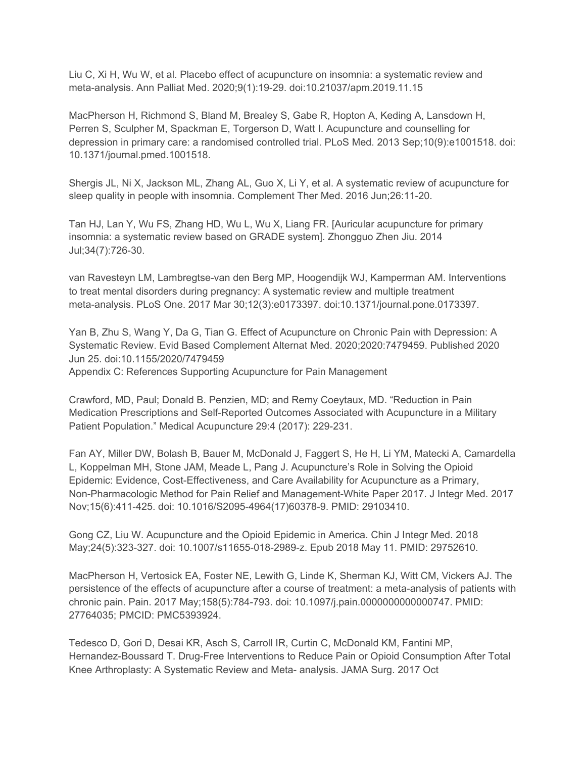Liu C, Xi H, Wu W, et al. Placebo effect of acupuncture on insomnia: a systematic review and meta-analysis. Ann Palliat Med. 2020;9(1):19-29. doi:10.21037/apm.2019.11.15

MacPherson H, Richmond S, Bland M, Brealey S, Gabe R, Hopton A, Keding A, Lansdown H, Perren S, Sculpher M, Spackman E, Torgerson D, Watt I. Acupuncture and counselling for depression in primary care: a randomised controlled trial. PLoS Med. 2013 Sep;10(9):e1001518. doi: 10.1371/journal.pmed.1001518.

Shergis JL, Ni X, Jackson ML, Zhang AL, Guo X, Li Y, et al. A systematic review of acupuncture for sleep quality in people with insomnia. Complement Ther Med. 2016 Jun;26:11-20.

Tan HJ, Lan Y, Wu FS, Zhang HD, Wu L, Wu X, Liang FR. [Auricular acupuncture for primary insomnia: a systematic review based on GRADE system]. Zhongguo Zhen Jiu. 2014 Jul;34(7):726-30.

van Ravesteyn LM, Lambregtse-van den Berg MP, Hoogendijk WJ, Kamperman AM. Interventions to treat mental disorders during pregnancy: A systematic review and multiple treatment meta-analysis. PLoS One. 2017 Mar 30;12(3):e0173397. doi:10.1371/journal.pone.0173397.

Yan B, Zhu S, Wang Y, Da G, Tian G. Effect of Acupuncture on Chronic Pain with Depression: A Systematic Review. Evid Based Complement Alternat Med. 2020;2020:7479459. Published 2020 Jun 25. doi:10.1155/2020/7479459 Appendix C: References Supporting Acupuncture for Pain Management

Crawford, MD, Paul; Donald B. Penzien, MD; and Remy Coeytaux, MD. "Reduction in Pain Medication Prescriptions and Self-Reported Outcomes Associated with Acupuncture in a Military Patient Population." Medical Acupuncture 29:4 (2017): 229-231.

Fan AY, Miller DW, Bolash B, Bauer M, McDonald J, Faggert S, He H, Li YM, Matecki A, Camardella L, Koppelman MH, Stone JAM, Meade L, Pang J. Acupuncture's Role in Solving the Opioid Epidemic: Evidence, Cost-Effectiveness, and Care Availability for Acupuncture as a Primary, Non-Pharmacologic Method for Pain Relief and Management-White Paper 2017. J Integr Med. 2017 Nov;15(6):411-425. doi: 10.1016/S2095-4964(17)60378-9. PMID: 29103410.

Gong CZ, Liu W. Acupuncture and the Opioid Epidemic in America. Chin J Integr Med. 2018 May;24(5):323-327. doi: 10.1007/s11655-018-2989-z. Epub 2018 May 11. PMID: 29752610.

MacPherson H, Vertosick EA, Foster NE, Lewith G, Linde K, Sherman KJ, Witt CM, Vickers AJ. The persistence of the effects of acupuncture after a course of treatment: a meta-analysis of patients with chronic pain. Pain. 2017 May;158(5):784-793. doi: 10.1097/j.pain.0000000000000747. PMID: 27764035; PMCID: PMC5393924.

Tedesco D, Gori D, Desai KR, Asch S, Carroll IR, Curtin C, McDonald KM, Fantini MP, Hernandez-Boussard T. Drug-Free Interventions to Reduce Pain or Opioid Consumption After Total Knee Arthroplasty: A Systematic Review and Meta- analysis. JAMA Surg. 2017 Oct